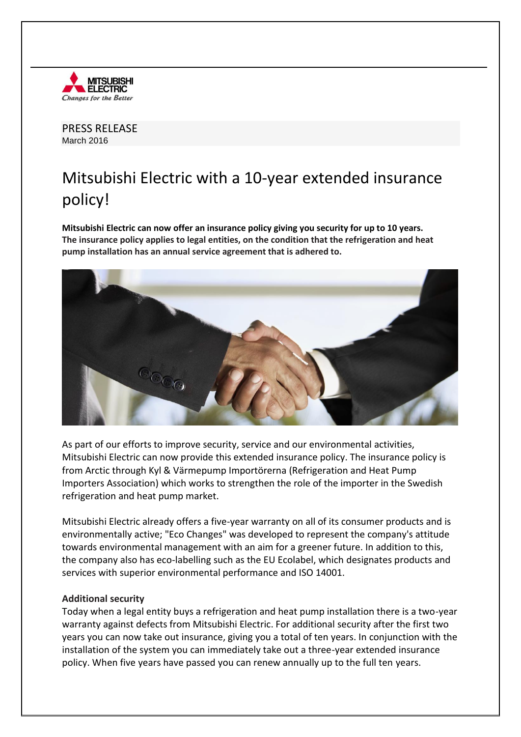

PRESS RELEASE March 2016

## Mitsubishi Electric with a 10-year extended insurance policy!

**Mitsubishi Electric can now offer an insurance policy giving you security for up to 10 years. The insurance policy applies to legal entities, on the condition that the refrigeration and heat pump installation has an annual service agreement that is adhered to.**



As part of our efforts to improve security, service and our environmental activities, Mitsubishi Electric can now provide this extended insurance policy. The insurance policy is from Arctic through Kyl & Värmepump Importörerna (Refrigeration and Heat Pump Importers Association) which works to strengthen the role of the importer in the Swedish refrigeration and heat pump market.

Mitsubishi Electric already offers a five-year warranty on all of its consumer products and is environmentally active; "Eco Changes" was developed to represent the company's attitude towards environmental management with an aim for a greener future. In addition to this, the company also has eco-labelling such as the EU Ecolabel, which designates products and services with superior environmental performance and ISO 14001.

## **Additional security**

Today when a legal entity buys a refrigeration and heat pump installation there is a two-year warranty against defects from Mitsubishi Electric. For additional security after the first two years you can now take out insurance, giving you a total of ten years. In conjunction with the installation of the system you can immediately take out a three-year extended insurance policy. When five years have passed you can renew annually up to the full ten years.